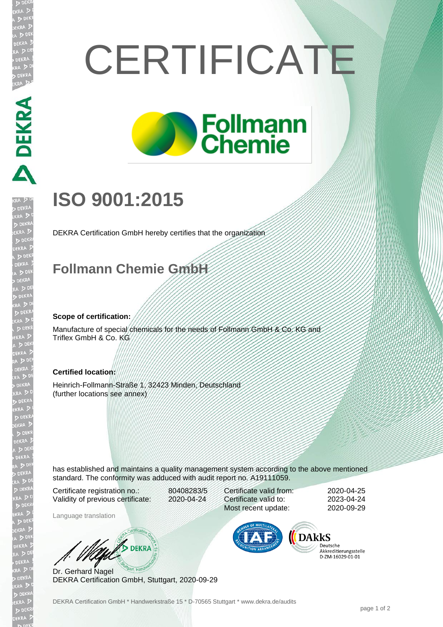# **CERTIFICATE**



## **ISO 9001:2015**

DEKRA Certification GmbH hereby certifies that the organization

### **Follmann Chemie GmbH**

#### **Scope of certification:**

DEKRA PERRA

EKR

Manufacture of special chemicals for the needs of Follmann GmbH & Co. KG and Triflex GmbH & Co. KG

#### **Certified location:**

Heinrich-Follmann-Straße 1, 32423 Minden, Deutschland (further locations see annex)

has established and maintains a quality management system according to the above mentioned standard. The conformity was adduced with audit report no. A19111059.

Certificate registration no.: 80408283/5 Validity of previous certificate: 2020-04-24

Language translation

Certificate valid from: 2020-04-25 Certificate valid to: 2023-04-24 Most recent update: 2020-09-29



Deutsche Akkreditierungsstelle 

Dr. Gerhard Nagel DEKRA Certification GmbH, Stuttgart, 2020-09-29

**AND DEKRA**